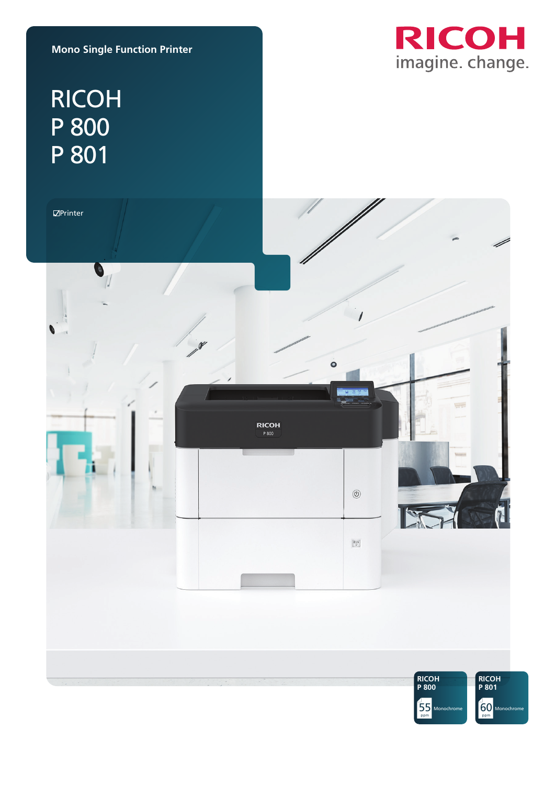

### **Mono Single Function Printer**

# RICOH P 800 P 801

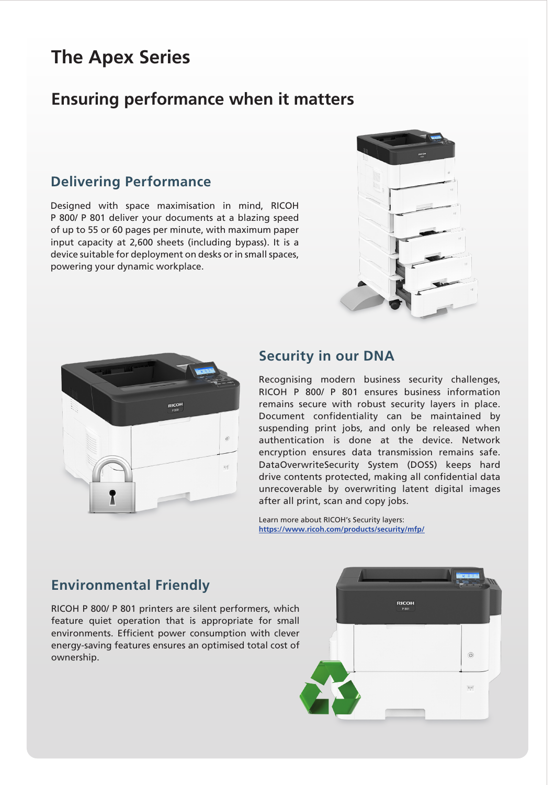# **The Apex Series**

# **Ensuring performance when it matters**

## **Delivering Performance**

Designed with space maximisation in mind, RICOH P 800/ P 801 deliver your documents at a blazing speed of up to 55 or 60 pages per minute, with maximum paper input capacity at 2,600 sheets (including bypass). It is a device suitable for deployment on desks or in small spaces, powering your dynamic workplace.





#### **Security in our DNA**

Recognising modern business security challenges, RICOH P 800/ P 801 ensures business information remains secure with robust security layers in place. Document confidentiality can be maintained by suspending print jobs, and only be released when authentication is done at the device. Network encryption ensures data transmission remains safe. DataOverwriteSecurity System (DOSS) keeps hard drive contents protected, making all confidential data unrecoverable by overwriting latent digital images after all print, scan and copy jobs.

Learn more about RICOH's Security layers: **https://www.ricoh.com/products/security/mfp/**

## **Environmental Friendly**

RICOH P 800/ P 801 printers are silent performers, which feature quiet operation that is appropriate for small environments. Efficient power consumption with clever energy-saving features ensures an optimised total cost of ownership.

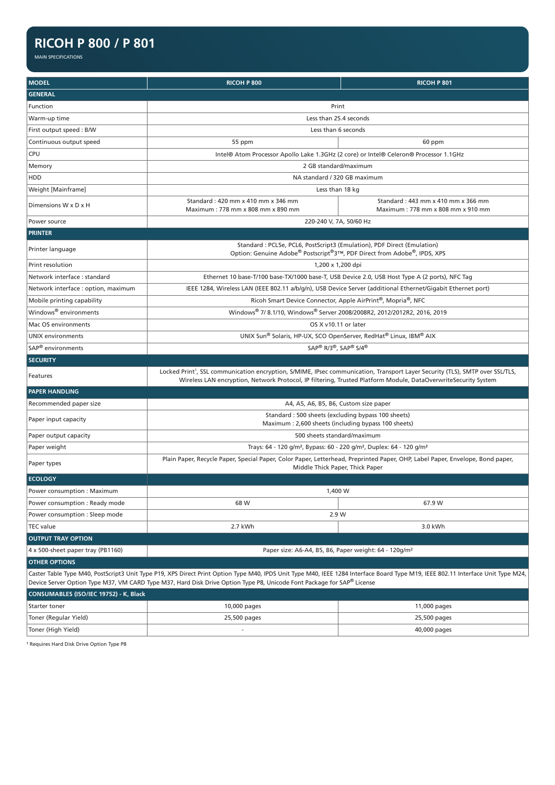### **RICOH P 800 / P 801**

MAIN SPECIFICATIONS

| <b>MODEL</b>                                                                                                                                                                                                                                                                                               | <b>RICOH P 800</b>                                                                                                                                               | <b>RICOH P 801</b>                                                                    |
|------------------------------------------------------------------------------------------------------------------------------------------------------------------------------------------------------------------------------------------------------------------------------------------------------------|------------------------------------------------------------------------------------------------------------------------------------------------------------------|---------------------------------------------------------------------------------------|
| <b>GENERAL</b>                                                                                                                                                                                                                                                                                             |                                                                                                                                                                  |                                                                                       |
| Function                                                                                                                                                                                                                                                                                                   | Print                                                                                                                                                            |                                                                                       |
| Warm-up time                                                                                                                                                                                                                                                                                               | Less than 25.4 seconds                                                                                                                                           |                                                                                       |
| First output speed: B/W                                                                                                                                                                                                                                                                                    | Less than 6 seconds                                                                                                                                              |                                                                                       |
| Continuous output speed                                                                                                                                                                                                                                                                                    | 55 ppm                                                                                                                                                           | 60 ppm                                                                                |
| <b>CPU</b>                                                                                                                                                                                                                                                                                                 |                                                                                                                                                                  | Intel® Atom Processor Apollo Lake 1.3GHz (2 core) or Intel® Celeron® Processor 1.1GHz |
| Memory                                                                                                                                                                                                                                                                                                     | 2 GB standard/maximum                                                                                                                                            |                                                                                       |
| <b>HDD</b>                                                                                                                                                                                                                                                                                                 | NA standard / 320 GB maximum                                                                                                                                     |                                                                                       |
| Weight [Mainframe]                                                                                                                                                                                                                                                                                         | Less than 18 kg                                                                                                                                                  |                                                                                       |
| Dimensions W x D x H                                                                                                                                                                                                                                                                                       | Standard: 420 mm x 410 mm x 346 mm<br>Maximum: 778 mm x 808 mm x 890 mm                                                                                          | Standard: 443 mm x 410 mm x 366 mm<br>Maximum: 778 mm x 808 mm x 910 mm               |
| Power source                                                                                                                                                                                                                                                                                               | 220-240 V, 7A, 50/60 Hz                                                                                                                                          |                                                                                       |
| <b>PRINTER</b>                                                                                                                                                                                                                                                                                             |                                                                                                                                                                  |                                                                                       |
| Printer language                                                                                                                                                                                                                                                                                           | Standard: PCL5e, PCL6, PostScript3 (Emulation), PDF Direct (Emulation)<br>Option: Genuine Adobe® Postscript®3™, PDF Direct from Adobe®, IPDS, XPS                |                                                                                       |
| Print resolution                                                                                                                                                                                                                                                                                           | 1,200 x 1,200 dpi                                                                                                                                                |                                                                                       |
| Network interface: standard                                                                                                                                                                                                                                                                                | Ethernet 10 base-T/100 base-TX/1000 base-T, USB Device 2.0, USB Host Type A (2 ports), NFC Tag                                                                   |                                                                                       |
| Network interface : option, maximum                                                                                                                                                                                                                                                                        | IEEE 1284, Wireless LAN (IEEE 802.11 a/b/g/n), USB Device Server (additional Ethernet/Gigabit Ethernet port)                                                     |                                                                                       |
| Mobile printing capability                                                                                                                                                                                                                                                                                 | Ricoh Smart Device Connector, Apple AirPrint®, Mopria®, NFC                                                                                                      |                                                                                       |
| Windows <sup>®</sup> environments                                                                                                                                                                                                                                                                          | Windows® 7/8.1/10, Windows® Server 2008/2008R2, 2012/2012R2, 2016, 2019                                                                                          |                                                                                       |
| Mac OS environments                                                                                                                                                                                                                                                                                        | OS X v10.11 or later                                                                                                                                             |                                                                                       |
| <b>UNIX environments</b>                                                                                                                                                                                                                                                                                   | UNIX Sun® Solaris, HP-UX, SCO OpenServer, RedHat® Linux, IBM® AIX                                                                                                |                                                                                       |
| SAP <sup>®</sup> environments                                                                                                                                                                                                                                                                              | SAP® R/3®, SAP® S/4®                                                                                                                                             |                                                                                       |
| <b>SECURITY</b>                                                                                                                                                                                                                                                                                            |                                                                                                                                                                  |                                                                                       |
| Locked Print <sup>1</sup> , SSL communication encryption, S/MIME, IPsec communication, Transport Layer Security (TLS), SMTP over SSL/TLS,<br>Features<br>Wireless LAN encryption, Network Protocol, IP filtering, Trusted Platform Module, DataOverwriteSecurity System                                    |                                                                                                                                                                  |                                                                                       |
| <b>PAPER HANDLING</b>                                                                                                                                                                                                                                                                                      |                                                                                                                                                                  |                                                                                       |
| Recommended paper size                                                                                                                                                                                                                                                                                     | A4, A5, A6, B5, B6, Custom size paper                                                                                                                            |                                                                                       |
| Paper input capacity                                                                                                                                                                                                                                                                                       | Standard: 500 sheets (excluding bypass 100 sheets)<br>Maximum: 2,600 sheets (including bypass 100 sheets)                                                        |                                                                                       |
| Paper output capacity                                                                                                                                                                                                                                                                                      | 500 sheets standard/maximum                                                                                                                                      |                                                                                       |
| Paper weight                                                                                                                                                                                                                                                                                               | Trays: 64 - 120 g/m <sup>2</sup> , Bypass: 60 - 220 g/m <sup>2</sup> , Duplex: 64 - 120 g/m <sup>2</sup>                                                         |                                                                                       |
| Paper types                                                                                                                                                                                                                                                                                                | Plain Paper, Recycle Paper, Special Paper, Color Paper, Letterhead, Preprinted Paper, OHP, Label Paper, Envelope, Bond paper,<br>Middle Thick Paper, Thick Paper |                                                                                       |
| <b>ECOLOGY</b>                                                                                                                                                                                                                                                                                             |                                                                                                                                                                  |                                                                                       |
| Power consumption : Maximum                                                                                                                                                                                                                                                                                | 1,400 W                                                                                                                                                          |                                                                                       |
| Power consumption: Ready mode                                                                                                                                                                                                                                                                              | 68 W                                                                                                                                                             | 67.9 W                                                                                |
| Power consumption : Sleep mode                                                                                                                                                                                                                                                                             | 2.9 W                                                                                                                                                            |                                                                                       |
| <b>TEC</b> value                                                                                                                                                                                                                                                                                           | 2.7 kWh                                                                                                                                                          | 3.0 kWh                                                                               |
| <b>OUTPUT TRAY OPTION</b>                                                                                                                                                                                                                                                                                  |                                                                                                                                                                  |                                                                                       |
| Paper size: A6-A4, B5, B6, Paper weight: 64 - 120g/m <sup>2</sup><br>4 x 500-sheet paper tray (PB1160)                                                                                                                                                                                                     |                                                                                                                                                                  |                                                                                       |
| <b>OTHER OPTIONS</b>                                                                                                                                                                                                                                                                                       |                                                                                                                                                                  |                                                                                       |
| Caster Table Type M40, PostScript3 Unit Type P19, XPS Direct Print Option Type M40, IPDS Unit Type M40, IEEE 1284 Interface Board Type M19, IEEE 802.11 Interface Unit Type M24,<br>Device Server Option Type M37, VM CARD Type M37, Hard Disk Drive Option Type P8, Unicode Font Package for SAP® License |                                                                                                                                                                  |                                                                                       |
| CONSUMABLES (ISO/IEC 19752) - K, Black                                                                                                                                                                                                                                                                     |                                                                                                                                                                  |                                                                                       |
| Starter toner                                                                                                                                                                                                                                                                                              | 10,000 pages                                                                                                                                                     | 11,000 pages                                                                          |
| Toner (Regular Yield)                                                                                                                                                                                                                                                                                      | 25,500 pages                                                                                                                                                     | 25,500 pages                                                                          |
| Toner (High Yield)                                                                                                                                                                                                                                                                                         |                                                                                                                                                                  | 40,000 pages                                                                          |

<sup>1</sup> Requires Hard Disk Drive Option Type P8